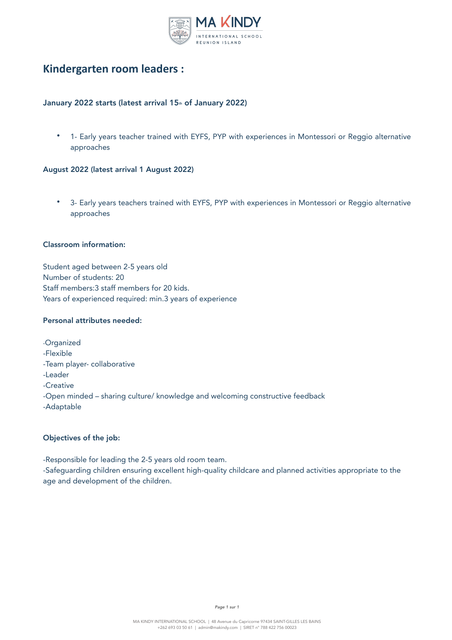

# **Kindergarten room leaders :**

# January 2022 starts (latest arrival 15th of January 2022)

• 1- Early years teacher trained with EYFS, PYP with experiences in Montessori or Reggio alternative approaches

#### August 2022 (latest arrival 1 August 2022)

• 3- Early years teachers trained with EYFS, PYP with experiences in Montessori or Reggio alternative approaches

# Classroom information:

Student aged between 2-5 years old Number of students: 20 Staff members:3 staff members for 20 kids. Years of experienced required: min.3 years of experience

# Personal attributes needed:

-Organized -Flexible -Team player- collaborative -Leader -Creative -Open minded – sharing culture/ knowledge and welcoming constructive feedback -Adaptable

#### Objectives of the job:

-Responsible for leading the 2-5 years old room team.

-Safeguarding children ensuring excellent high-quality childcare and planned activities appropriate to the age and development of the children.